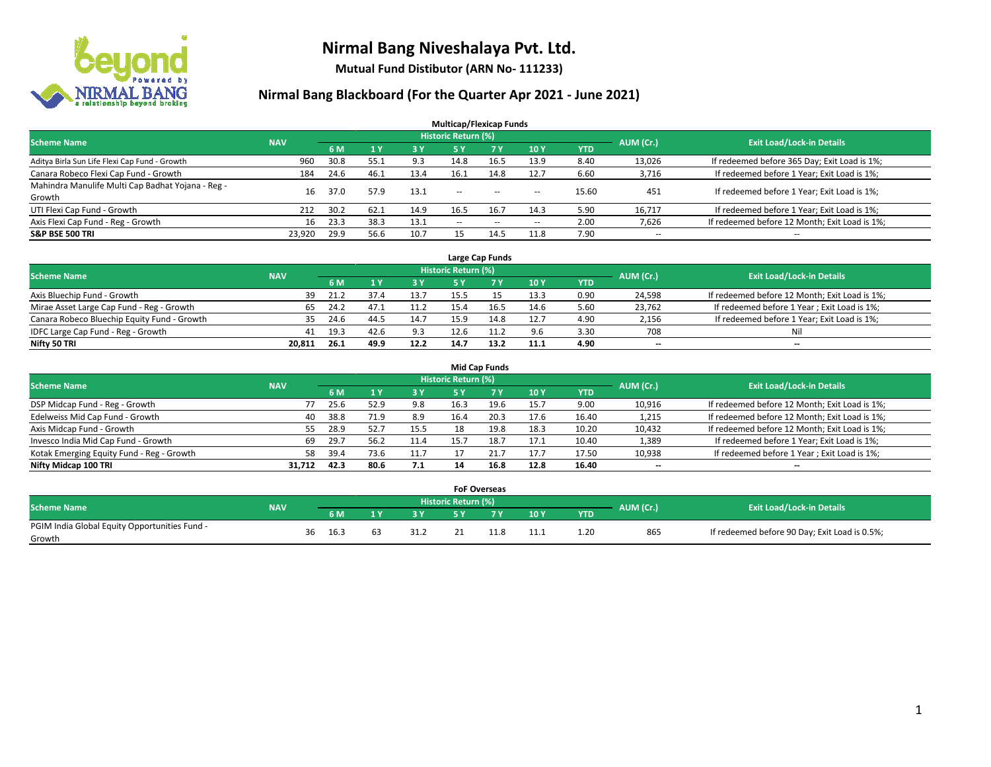

**Mutual Fund Distibutor (ARN No- 111233)**

| <b>Multicap/Flexicap Funds</b>                    |                                                                                                                 |      |      |            |                          |            |                          |            |                          |                                               |  |  |  |  |  |
|---------------------------------------------------|-----------------------------------------------------------------------------------------------------------------|------|------|------------|--------------------------|------------|--------------------------|------------|--------------------------|-----------------------------------------------|--|--|--|--|--|
|                                                   | <b>Historic Return (%)</b><br><b>Exit Load/Lock-in Details</b><br><b>Scheme Name</b><br>AUM (Cr.)<br><b>NAV</b> |      |      |            |                          |            |                          |            |                          |                                               |  |  |  |  |  |
|                                                   |                                                                                                                 | 6 M  | 1Y   | <b>3 Y</b> | 5 Y                      | <b>7 Y</b> | <b>10Y</b>               | <b>YTD</b> |                          |                                               |  |  |  |  |  |
| Aditya Birla Sun Life Flexi Cap Fund - Growth     | 960                                                                                                             | 30.8 | 55.1 | 9.3        | 14.8                     | 16.5       | 13.9                     | 8.40       | 13,026                   | If redeemed before 365 Day; Exit Load is 1%;  |  |  |  |  |  |
| Canara Robeco Flexi Cap Fund - Growth             | 184                                                                                                             | 24.6 | 46.1 | 13.4       | 16.1                     | 14.8       | 12.7                     | 6.60       | 3,716                    | If redeemed before 1 Year; Exit Load is 1%;   |  |  |  |  |  |
| Mahindra Manulife Multi Cap Badhat Yojana - Reg - | 16                                                                                                              | 37.0 | 57.9 | 13.1       | $\overline{\phantom{a}}$ |            |                          | 15.60      | 451                      | If redeemed before 1 Year; Exit Load is 1%;   |  |  |  |  |  |
| Growth                                            |                                                                                                                 |      |      |            |                          | $- -$      | $\overline{\phantom{a}}$ |            |                          |                                               |  |  |  |  |  |
| UTI Flexi Cap Fund - Growth                       | 212                                                                                                             | 30.2 | 62.1 | 14.9       | 16.5                     | 16.7       | 14.3                     | 5.90       | 16,717                   | If redeemed before 1 Year; Exit Load is 1%;   |  |  |  |  |  |
| Axis Flexi Cap Fund - Reg - Growth                | 16                                                                                                              | 23.3 | 38.3 | 13.1       | $\overline{\phantom{a}}$ | $\sim$     | --                       | 2.00       | 7,626                    | If redeemed before 12 Month; Exit Load is 1%; |  |  |  |  |  |
| <b>S&amp;P BSE 500 TRI</b>                        | 23,920                                                                                                          | 29.9 | 56.6 | 10.7       |                          | 14.5       | 11.8                     | 7.90       | $\overline{\phantom{a}}$ | $- -$                                         |  |  |  |  |  |

|                                             |            |      |      |      |                            | Large Cap Funds |      |            |           |                                               |
|---------------------------------------------|------------|------|------|------|----------------------------|-----------------|------|------------|-----------|-----------------------------------------------|
| <b>Scheme Name</b>                          | <b>NAV</b> |      |      |      | <b>Historic Return (%)</b> |                 |      |            | AUM (Cr.) | <b>Exit Load/Lock-in Details</b>              |
|                                             |            | 6 M  |      | 3Y   |                            | <b>7Y</b>       | 10Y  | <b>YTD</b> |           |                                               |
| Axis Bluechip Fund - Growth                 | 39         | 21.2 | 37.4 | 13.7 | 15.5                       |                 | 13.3 | 0.90       | 24,598    | If redeemed before 12 Month; Exit Load is 1%; |
| Mirae Asset Large Cap Fund - Reg - Growth   | 65         | 24.2 | 47.1 | 11.2 |                            | 16.5            | 14.6 | 5.60       | 23,762    | If redeemed before 1 Year; Exit Load is 1%;   |
| Canara Robeco Bluechip Equity Fund - Growth | 35         | 24.6 | 44.  | 14.7 |                            |                 | 12.7 | 4.90       | 2,156     | If redeemed before 1 Year; Exit Load is 1%;   |
| IDFC Large Cap Fund - Reg - Growth          | 41         | 19.3 | 42.6 | 9.3  | 12.6                       |                 | 9.6  | 3.30       | 708       | Nil                                           |
| Nifty 50 TRI                                | 20.811     | 26.1 | 49.9 | 12.2 | 14.7                       | 13.2            | 11.1 | 4.90       | $- -$     | $-$                                           |

| <b>Mid Cap Funds</b>                      |            |            |                                  |           |      |      |      |            |                          |                                               |  |  |  |  |
|-------------------------------------------|------------|------------|----------------------------------|-----------|------|------|------|------------|--------------------------|-----------------------------------------------|--|--|--|--|
| <b>Scheme Name</b>                        | <b>NAV</b> | AUM (Cr.)  | <b>Exit Load/Lock-in Details</b> |           |      |      |      |            |                          |                                               |  |  |  |  |
|                                           |            | 6 M        |                                  | <b>3Y</b> | 5 Y  |      | 10Y  | <b>YTD</b> |                          |                                               |  |  |  |  |
| DSP Midcap Fund - Reg - Growth            |            | 25.6<br>77 | 52.9                             | 9.8       | 16.3 | 19.6 | 15.7 | 9.00       | 10,916                   | If redeemed before 12 Month; Exit Load is 1%; |  |  |  |  |
| Edelweiss Mid Cap Fund - Growth           |            | 38.8<br>40 | 71.9                             | 8.9       | 16.4 | 20.3 | 17.6 | 16.40      | 1,215                    | If redeemed before 12 Month; Exit Load is 1%; |  |  |  |  |
| Axis Midcap Fund - Growth                 |            | 28.9<br>55 | 52.7                             | 15.5      | 18   | 19.8 | 18.3 | 10.20      | 10,432                   | If redeemed before 12 Month; Exit Load is 1%; |  |  |  |  |
| Invesco India Mid Cap Fund - Growth       |            | 29.7<br>69 | 56.2                             | 11.4      | 15.  | 18.7 | 17.1 | 10.40      | 1,389                    | If redeemed before 1 Year; Exit Load is 1%;   |  |  |  |  |
| Kotak Emerging Equity Fund - Reg - Growth |            | 39.4<br>58 | 73.6                             | 11.7      |      |      | 17.7 | 17.50      | 10,938                   | If redeemed before 1 Year; Exit Load is 1%;   |  |  |  |  |
| Nifty Midcap 100 TRI                      | 31.712     | 42.3       | 80.6                             | 7.1       | 14   | 16.8 | 12.8 | 16.40      | $\overline{\phantom{m}}$ | $\overline{\phantom{a}}$                      |  |  |  |  |

|                                               |            |    |      |      |                     | <b>FoF Overseas</b> |         |            |           |                                               |
|-----------------------------------------------|------------|----|------|------|---------------------|---------------------|---------|------------|-----------|-----------------------------------------------|
| Scheme Name                                   | <b>NAV</b> |    |      |      | Historic Return (%) |                     |         |            | AUM (Cr.) | <b>Exit Load/Lock-in Details</b>              |
|                                               |            |    | 6 M  | י כ  |                     |                     | 10Y     | <b>YTD</b> |           |                                               |
| PGIM India Global Equity Opportunities Fund - |            | 36 | 16.3 | 31.2 |                     |                     | 111     | 1.20       | 865       | If redeemed before 90 Day; Exit Load is 0.5%; |
| Growth                                        |            |    |      |      |                     |                     | <b></b> |            |           |                                               |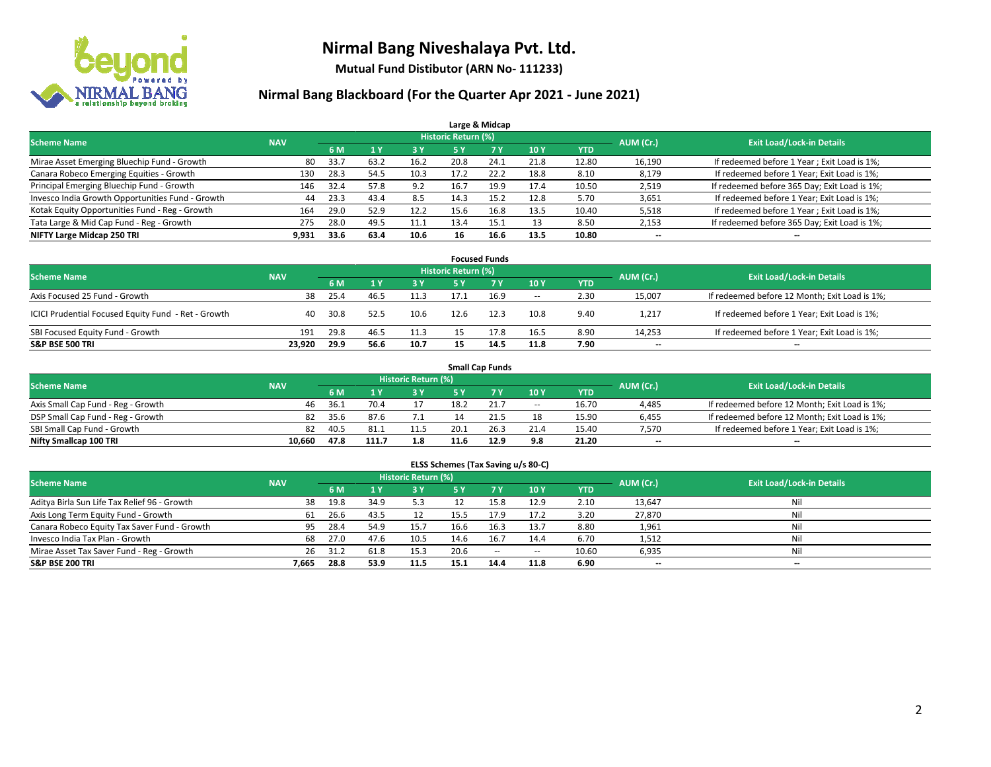

**Mutual Fund Distibutor (ARN No- 111233)**

| Large & Midcap                                   |            |      |      |            |                            |           |      |            |           |                                              |  |  |  |  |
|--------------------------------------------------|------------|------|------|------------|----------------------------|-----------|------|------------|-----------|----------------------------------------------|--|--|--|--|
| <b>Scheme Name</b>                               | <b>NAV</b> |      |      |            | <b>Historic Return (%)</b> |           |      |            | AUM (Cr.) | <b>Exit Load/Lock-in Details</b>             |  |  |  |  |
|                                                  |            | 6 M  |      | <b>3 Y</b> | 5 Y                        | <b>7Y</b> | 10Y  | <b>YTD</b> |           |                                              |  |  |  |  |
| Mirae Asset Emerging Bluechip Fund - Growth      | 80         | 33.7 | 63.2 | 16.2       | 20.8                       | 24.1      | 21.8 | 12.80      | 16,190    | If redeemed before 1 Year; Exit Load is 1%;  |  |  |  |  |
| Canara Robeco Emerging Equities - Growth         | 130        | 28.3 | 54.5 | 10.3       | 17.2                       | 22.2      | 18.8 | 8.10       | 8,179     | If redeemed before 1 Year; Exit Load is 1%;  |  |  |  |  |
| Principal Emerging Bluechip Fund - Growth        | 146        | 32.4 | 57.8 | 9.2        | 16.7                       | 19.9      | 17.4 | 10.50      | 2,519     | If redeemed before 365 Day; Exit Load is 1%; |  |  |  |  |
| Invesco India Growth Opportunities Fund - Growth | 44         | 23.3 | 43.4 | 8.5        | 14.3                       | 15.2      | 12.8 | 5.70       | 3,651     | If redeemed before 1 Year; Exit Load is 1%;  |  |  |  |  |
| Kotak Equity Opportunities Fund - Reg - Growth   | 164        | 29.0 | 52.9 | 12.2       | 15.6                       | 16.8      | 13.5 | 10.40      | 5,518     | If redeemed before 1 Year; Exit Load is 1%;  |  |  |  |  |
| Tata Large & Mid Cap Fund - Reg - Growth         | 275        | 28.0 | 49.5 | 11.1       | 13.4                       | 15.1      | 13   | 8.50       | 2,153     | If redeemed before 365 Day; Exit Load is 1%; |  |  |  |  |
| NIFTY Large Midcap 250 TRI                       | 9.931      | 33.6 | 63.4 | 10.6       | 16                         | 16.6      | 13.5 | 10.80      | --        | --                                           |  |  |  |  |

| <b>Focused Funds</b>                                |            |      |      |      |                     |      |        |            |           |                                               |  |  |  |
|-----------------------------------------------------|------------|------|------|------|---------------------|------|--------|------------|-----------|-----------------------------------------------|--|--|--|
| <b>Scheme Name</b>                                  | <b>NAV</b> |      |      |      | Historic Return (%) |      |        |            | AUM (Cr.) | <b>Exit Load/Lock-in Details</b>              |  |  |  |
|                                                     |            | 6 M  |      | 3 Y  | 5 ۷                 |      | 10Y    | <b>YTD</b> |           |                                               |  |  |  |
| Axis Focused 25 Fund - Growth                       | 38         | 25.4 | 46.5 | 11.3 |                     | 16.9 | $\sim$ | 2.30       | 15,007    | If redeemed before 12 Month; Exit Load is 1%; |  |  |  |
| ICICI Prudential Focused Equity Fund - Ret - Growth | 40         | 30.8 | 52.5 | 10.6 | 12.6                | 12.3 | 10.8   | 9.40       | 1,217     | If redeemed before 1 Year; Exit Load is 1%;   |  |  |  |
| SBI Focused Equity Fund - Growth                    | 191        | 29.8 | 46.5 | 11.3 |                     | 17.8 | 16.5   | 8.90       | 14,253    | If redeemed before 1 Year; Exit Load is 1%;   |  |  |  |
| <b>S&amp;P BSE 500 TRI</b>                          | 23.920     | 29.9 | 56.6 | 10.7 | 15                  | 14.5 | 11.8   | 7.90       | $- -$     | $\overline{\phantom{a}}$                      |  |  |  |

| <b>Small Cap Funds</b>             |            |           |                                  |      |      |      |        |            |       |                                               |  |  |  |
|------------------------------------|------------|-----------|----------------------------------|------|------|------|--------|------------|-------|-----------------------------------------------|--|--|--|
| <b>Scheme Name</b>                 | <b>NAV</b> | AUM (Cr.) | <b>Exit Load/Lock-in Details</b> |      |      |      |        |            |       |                                               |  |  |  |
|                                    |            | 6 M       |                                  | 3 Y  |      |      | 10Y    | <b>YTD</b> |       |                                               |  |  |  |
| Axis Small Cap Fund - Reg - Growth | 46         | 36.1      | 70.4                             |      | 18.2 | 21.  | $\sim$ | 16.70      | 4,485 | If redeemed before 12 Month; Exit Load is 1%; |  |  |  |
| DSP Small Cap Fund - Reg - Growth  | 82         | 35.6      | 87.6                             | 7.1  |      |      | 18     | 15.90      | 6,455 | If redeemed before 12 Month; Exit Load is 1%; |  |  |  |
| SBI Small Cap Fund - Growth        | 82         | 40.5      | 81.                              | 11.5 | 20.1 |      | 21.4   | 15.40      | 7,570 | If redeemed before 1 Year; Exit Load is 1%;   |  |  |  |
| Nifty Smallcap 100 TRI             | 10.660     | 47.8      | 111.7                            | 1.8  | 11.6 | 12.9 | 9.8    | 21.20      | $- -$ | $-$                                           |  |  |  |

| ELSS Schemes (Tax Saving u/s 80-C)                                                                              |       |      |                |      |           |            |                          |            |        |                          |  |  |  |  |
|-----------------------------------------------------------------------------------------------------------------|-------|------|----------------|------|-----------|------------|--------------------------|------------|--------|--------------------------|--|--|--|--|
| <b>Historic Return (%)</b><br><b>Exit Load/Lock-in Details</b><br>AUM (Cr.)<br><b>Scheme Name</b><br><b>NAV</b> |       |      |                |      |           |            |                          |            |        |                          |  |  |  |  |
|                                                                                                                 |       | 6 M  | 1 <sup>1</sup> | 3 Y  | <b>5Y</b> | <b>7 Y</b> | <b>10Y</b>               | <b>YTD</b> |        |                          |  |  |  |  |
| Aditya Birla Sun Life Tax Relief 96 - Growth                                                                    | 38    | 19.8 | 34.9           | 5.3  |           | 15.8       | 12.9                     | 2.10       | 13,647 | Nil                      |  |  |  |  |
| Axis Long Term Equity Fund - Growth                                                                             | 61    | 26.6 | 43.5           | 12   | 15.5      | 17.9       | 17.2                     | 3.20       | 27,870 | Nil                      |  |  |  |  |
| Canara Robeco Equity Tax Saver Fund - Growth                                                                    | 95    | 28.4 | 54.9           | 15.7 | 16.6      | 16.3       | 13.7                     | 8.80       | 1,961  | Nil                      |  |  |  |  |
| Invesco India Tax Plan - Growth                                                                                 | 68    | 27.0 | 47.6           | 10.5 | 14.6      | 16.7       | 14.4                     | 6.70       | 1,512  | Nil                      |  |  |  |  |
| Mirae Asset Tax Saver Fund - Reg - Growth                                                                       | 26    | 31.2 | 61.8           | 15.3 | 20.6      | $\sim$     | $\overline{\phantom{a}}$ | 10.60      | 6,935  | Nil                      |  |  |  |  |
| S&P BSE 200 TRI                                                                                                 | 7.665 | 28.8 | 53.9           | 11.5 | 15.1      | 14.4       | 11.8                     | 6.90       | $- -$  | $\overline{\phantom{a}}$ |  |  |  |  |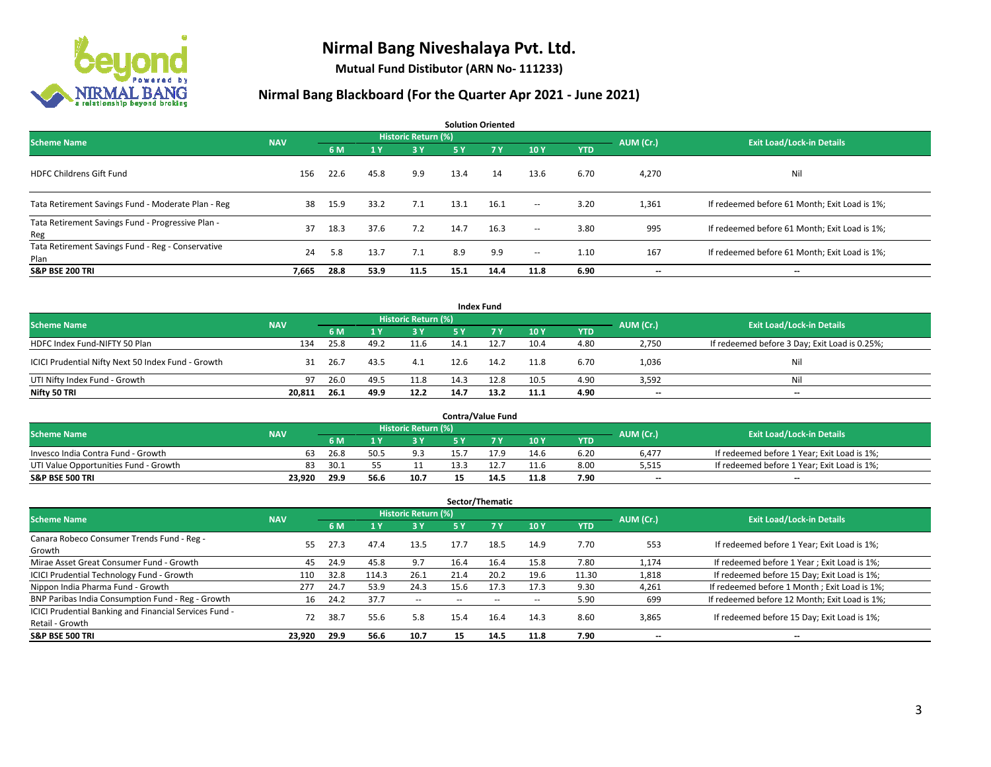

**Mutual Fund Distibutor (ARN No- 111233)**

| <b>Solution Oriented</b>                                  |            |      |                |                            |      |           |                          |            |           |                                               |  |  |  |
|-----------------------------------------------------------|------------|------|----------------|----------------------------|------|-----------|--------------------------|------------|-----------|-----------------------------------------------|--|--|--|
| <b>Scheme Name</b>                                        | <b>NAV</b> |      |                | <b>Historic Return (%)</b> |      |           |                          |            | AUM (Cr.) | <b>Exit Load/Lock-in Details</b>              |  |  |  |
|                                                           |            | 6 M  | 1 <sup>1</sup> | 3 Y                        | 5 Y  | <b>7Y</b> | 10Y                      | <b>YTD</b> |           |                                               |  |  |  |
| <b>HDFC Childrens Gift Fund</b>                           | 156        | 22.6 | 45.8           | 9.9                        | 13.4 | 14        | 13.6                     | 6.70       | 4,270     | Nil                                           |  |  |  |
| Tata Retirement Savings Fund - Moderate Plan - Reg        | 38         | 15.9 | 33.2           | 7.1                        | 13.1 | 16.1      | $ -$                     | 3.20       | 1,361     | If redeemed before 61 Month; Exit Load is 1%; |  |  |  |
| Tata Retirement Savings Fund - Progressive Plan -<br>Reg  | 37         | 18.3 | 37.6           | 7.2                        | 14.7 | 16.3      | $ -$                     | 3.80       | 995       | If redeemed before 61 Month; Exit Load is 1%; |  |  |  |
| Tata Retirement Savings Fund - Reg - Conservative<br>Plan | 24         | 5.8  | 13.7           | 7.1                        | 8.9  | 9.9       | $\overline{\phantom{a}}$ | 1.10       | 167       | If redeemed before 61 Month; Exit Load is 1%; |  |  |  |
| <b>S&amp;P BSE 200 TRI</b>                                | 7,665      | 28.8 | 53.9           | 11.5                       | 15.1 | 14.4      | 11.8                     | 6.90       | --        | $\overline{\phantom{a}}$                      |  |  |  |

| <b>Index Fund</b>                                  |            |                                  |      |           |           |      |      |            |                          |                                               |  |  |  |
|----------------------------------------------------|------------|----------------------------------|------|-----------|-----------|------|------|------------|--------------------------|-----------------------------------------------|--|--|--|
| <b>Scheme Name</b>                                 | AUM (Cr.)  | <b>Exit Load/Lock-in Details</b> |      |           |           |      |      |            |                          |                                               |  |  |  |
|                                                    | <b>NAV</b> | 6 M                              |      | <b>3Y</b> | <b>5Y</b> | 7 Y  | 10Y  | <b>YTD</b> |                          |                                               |  |  |  |
| HDFC Index Fund-NIFTY 50 Plan                      | 134        | 25.8                             | 49.2 | 11.6      | 14.1      | 12.7 | 10.4 | 4.80       | 2,750                    | If redeemed before 3 Day; Exit Load is 0.25%; |  |  |  |
| ICICI Prudential Nifty Next 50 Index Fund - Growth | 31         | 26.7                             | 43.5 | 4.1       | 12.6      | 14.2 | 11.8 | 6.70       | 1,036                    | Nil                                           |  |  |  |
| UTI Nifty Index Fund - Growth                      | 97         | 26.0                             | 49.5 | 11.8      | 14.3      | 12.8 | 10.5 | 4.90       | 3,592                    | Nil                                           |  |  |  |
| Nifty 50 TRI                                       | 20,811     | 26.1                             | 49.9 | 12.2      | 14.7      | 13.2 | 11.1 | 4.90       | $\overline{\phantom{a}}$ | $\overline{\phantom{a}}$                      |  |  |  |

|                                       |            |       |      |                     |      | <b>Contra/Value Fund</b> |      |      |           |                                             |
|---------------------------------------|------------|-------|------|---------------------|------|--------------------------|------|------|-----------|---------------------------------------------|
| <b>Scheme Name</b>                    | <b>NAV</b> |       |      | Historic Return (%) |      |                          |      |      | AUM (Cr.) | <b>Exit Load/Lock-in Details</b>            |
|                                       |            | 6 M   |      | 3 Y                 |      |                          | 10Y  | YTD  |           |                                             |
| Invesco India Contra Fund - Growth    | 63         | 26.8  | 50.5 | 9.3                 | 15.7 |                          | 14.6 | 6.20 | 6,477     | If redeemed before 1 Year; Exit Load is 1%; |
| UTI Value Opportunities Fund - Growth | 83         | -30.1 |      |                     | 13.3 |                          | 11.6 | 8.00 | 5,515     | If redeemed before 1 Year; Exit Load is 1%; |
| <b>S&amp;P BSE 500 TRI</b>            | 23.920     | 29.9  | 56.6 | 10.7                |      | 14.!                     | 11.8 | 7.90 | $- -$     | $\overline{\phantom{a}}$                    |

| Sector/Thematic                                                           |            |      |       |                     |      |                |      |            |           |                                               |  |  |  |
|---------------------------------------------------------------------------|------------|------|-------|---------------------|------|----------------|------|------------|-----------|-----------------------------------------------|--|--|--|
| <b>Scheme Name</b>                                                        | <b>NAV</b> |      |       | Historic Return (%) |      |                |      |            | AUM (Cr.) | <b>Exit Load/Lock-in Details</b>              |  |  |  |
|                                                                           |            | 6 M  | $A$ Y | <b>3Y</b>           | 5 Y  | 7 <sub>V</sub> | 10Y  | <b>YTD</b> |           |                                               |  |  |  |
| Canara Robeco Consumer Trends Fund - Reg -<br>Growth                      | 55.        | 27.3 | 47.4  | 13.5                | 17.7 | 18.5           | 14.9 | 7.70       | 553       | If redeemed before 1 Year; Exit Load is 1%;   |  |  |  |
| Mirae Asset Great Consumer Fund - Growth                                  | 45         | 24.9 | 45.8  | 9.7                 | 16.4 | 16.4           | 15.8 | 7.80       | 1.174     | If redeemed before 1 Year; Exit Load is 1%;   |  |  |  |
| ICICI Prudential Technology Fund - Growth                                 | 110        | 32.8 | 114.3 | 26.1                | 21.4 | 20.2           | 19.6 | 11.30      | 1,818     | If redeemed before 15 Day; Exit Load is 1%;   |  |  |  |
| Nippon India Pharma Fund - Growth                                         | 277        | 24.7 | 53.9  | 24.3                | 15.6 | 17.3           | 17.3 | 9.30       | 4,261     | If redeemed before 1 Month; Exit Load is 1%;  |  |  |  |
| BNP Paribas India Consumption Fund - Reg - Growth                         | 16         | 24.2 | 37.7  | $\sim$              | --   | $\sim$ $\sim$  | --   | 5.90       | 699       | If redeemed before 12 Month; Exit Load is 1%; |  |  |  |
| ICICI Prudential Banking and Financial Services Fund -<br>Retail - Growth | 72         | 38.7 | 55.6  | 5.8                 | 15.4 | 16.4           | 14.3 | 8.60       | 3,865     | If redeemed before 15 Day; Exit Load is 1%;   |  |  |  |
| <b>S&amp;P BSE 500 TRI</b>                                                | 23.920     | 29.9 | 56.6  | 10.7                | 15   | 14.5           | 11.8 | 7.90       | --        | --                                            |  |  |  |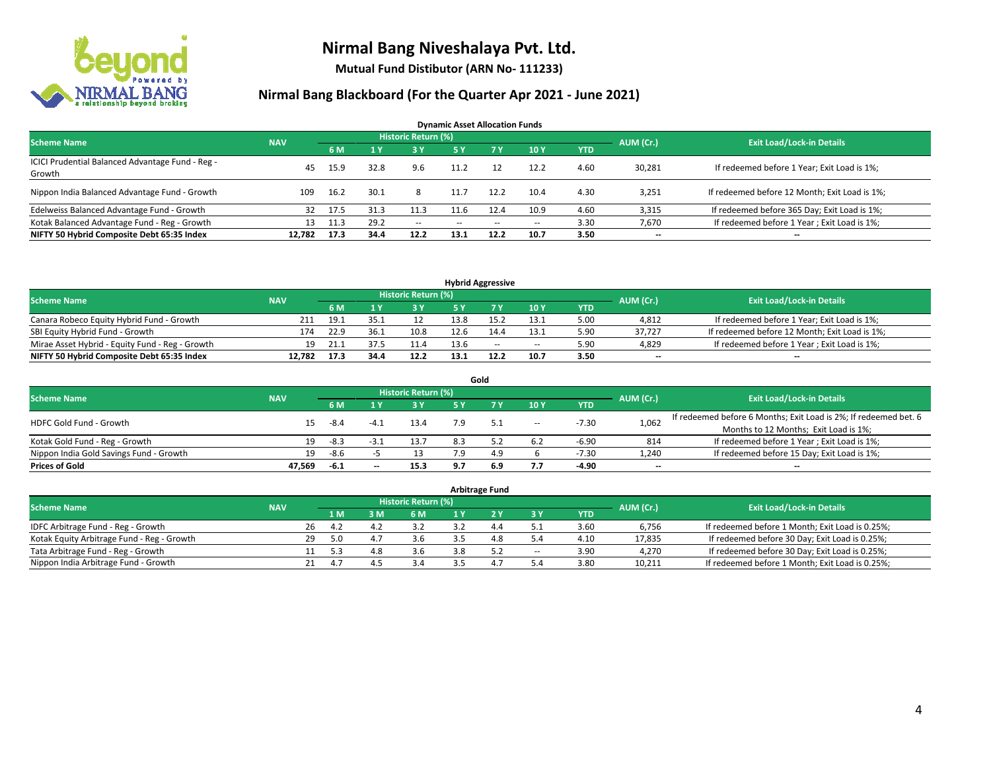

**Mutual Fund Distibutor (ARN No- 111233)**

| <b>Dynamic Asset Allocation Funds</b>            |                                               |      |      |                     |      |        |       |      |           |                                               |  |  |  |
|--------------------------------------------------|-----------------------------------------------|------|------|---------------------|------|--------|-------|------|-----------|-----------------------------------------------|--|--|--|
| <b>Scheme Name</b>                               | <b>NAV</b>                                    |      |      | Historic Return (%) |      |        |       |      | AUM (Cr.) | <b>Exit Load/Lock-in Details</b>              |  |  |  |
|                                                  | 10Y<br>7 V<br>6 M<br>5 Y<br>3 Y<br><b>YTD</b> |      |      |                     |      |        |       |      |           |                                               |  |  |  |
| ICICI Prudential Balanced Advantage Fund - Reg - | 45                                            | 15.9 | 32.8 | 9.6                 | 11.2 |        | 12.2  | 4.60 | 30,281    | If redeemed before 1 Year; Exit Load is 1%;   |  |  |  |
| Growth                                           |                                               |      |      |                     |      |        |       |      |           |                                               |  |  |  |
| Nippon India Balanced Advantage Fund - Growth    | 109                                           | 16.2 | 30.1 | 8                   | 11.7 | 12.2   | 10.4  | 4.30 | 3,251     | If redeemed before 12 Month; Exit Load is 1%; |  |  |  |
| Edelweiss Balanced Advantage Fund - Growth       | 32                                            | 17.5 | 31.3 |                     | 11.6 | 12.4   | 10.9  | 4.60 | 3,315     | If redeemed before 365 Day; Exit Load is 1%;  |  |  |  |
| Kotak Balanced Advantage Fund - Reg - Growth     | 13                                            | 11.3 | 29.2 | $\sim$ $-$          | --   | $\sim$ | $\!-$ | 3.30 | 7,670     | If redeemed before 1 Year; Exit Load is 1%;   |  |  |  |
| NIFTY 50 Hybrid Composite Debt 65:35 Index       | 12.782                                        | 17.3 | 34.4 | 12.2                | 13.1 | 12.2   | 10.7  | 3.50 | $- -$     | --                                            |  |  |  |

| <b>Hybrid Aggressive</b>                        |            |      |      |                     |      |        |        |            |           |                                               |  |  |  |
|-------------------------------------------------|------------|------|------|---------------------|------|--------|--------|------------|-----------|-----------------------------------------------|--|--|--|
| <b>Scheme Name</b>                              | <b>NAV</b> |      |      | Historic Return (%) |      |        |        |            | AUM (Cr.) | <b>Exit Load/Lock-in Details</b>              |  |  |  |
|                                                 |            | 6 M  |      | 3 Y                 |      |        | 10Y    | <b>YTD</b> |           |                                               |  |  |  |
| Canara Robeco Equity Hybrid Fund - Growth       | 211        | 19.1 | 35.1 |                     | 13.8 |        | 13.1   | 5.00       | 4,812     | If redeemed before 1 Year; Exit Load is 1%;   |  |  |  |
| SBI Equity Hybrid Fund - Growth                 | 174        | 22.9 | 36.1 | 10.8                | 12.6 |        | 13.1   | 5.90       | 37.727    | If redeemed before 12 Month; Exit Load is 1%; |  |  |  |
| Mirae Asset Hybrid - Equity Fund - Reg - Growth | 19         | 21.5 |      | 11.4                | 13.6 | $\sim$ | $\sim$ | 5.90       | 4,829     | If redeemed before 1 Year; Exit Load is 1%;   |  |  |  |
| NIFTY 50 Hybrid Composite Debt 65:35 Index      | 12.782     | 17.3 | 34.4 | 12.2                | 13.1 | 12.2   | 10.7   | 3.50       | $-$       | $- -$                                         |  |  |  |

| Gold                                    |            |        |        |                            |            |           |                          |            |                          |                                                                  |  |  |  |
|-----------------------------------------|------------|--------|--------|----------------------------|------------|-----------|--------------------------|------------|--------------------------|------------------------------------------------------------------|--|--|--|
| <b>Scheme Name</b>                      | <b>NAV</b> |        |        | <b>Historic Return (%)</b> |            |           |                          |            | AUM (Cr.)                | <b>Exit Load/Lock-in Details</b>                                 |  |  |  |
|                                         |            | 6 M    |        | <b>3Y</b>                  | <b>5 Y</b> | <b>7V</b> | 10Y                      | <b>YTD</b> |                          |                                                                  |  |  |  |
| <b>HDFC Gold Fund - Growth</b>          | 15         | -8.4   | $-4.1$ | 13.4                       | 7.9        | 5.1       | $\overline{\phantom{a}}$ | $-7.30$    | 1,062                    | If redeemed before 6 Months; Exit Load is 2%; If redeemed bet. 6 |  |  |  |
|                                         |            |        |        |                            |            |           |                          |            |                          | Months to 12 Months; Exit Load is 1%;                            |  |  |  |
| Kotak Gold Fund - Reg - Growth          | 19         | -8.3   | -3.    | 13.7                       | 8.3        |           | 6.2                      | $-6.90$    | 814                      | If redeemed before 1 Year; Exit Load is 1%;                      |  |  |  |
| Nippon India Gold Savings Fund - Growth | 19         | -8.6   |        |                            | 7.9        | 4.9       |                          | $-7.30$    | 1,240                    | If redeemed before 15 Day; Exit Load is 1%;                      |  |  |  |
| <b>Prices of Gold</b>                   | 47.569     | $-6.1$ | $- -$  | 15.3                       | 9.7        | 6.9       | 7.7                      | -4.90      | $\overline{\phantom{a}}$ | --                                                               |  |  |  |

| <b>Arbitrage Fund</b>                      |            |    |      |              |                     |  |     |                          |            |           |                                                 |  |  |
|--------------------------------------------|------------|----|------|--------------|---------------------|--|-----|--------------------------|------------|-----------|-------------------------------------------------|--|--|
| <b>Scheme Name</b>                         | <b>NAV</b> |    |      |              | Historic Return (%) |  |     |                          |            | AUM (Cr.) | <b>Exit Load/Lock-in Details</b>                |  |  |
|                                            |            |    | 1 M. | 3 M          | 6 M                 |  |     | 3 Y                      | <b>YTD</b> |           |                                                 |  |  |
| IDFC Arbitrage Fund - Reg - Growth         |            | 26 | 4.2  | $\mathbf{A}$ | 3.2                 |  | 4.4 |                          | 3.60       | 6,756     | If redeemed before 1 Month; Exit Load is 0.25%; |  |  |
| Kotak Equity Arbitrage Fund - Reg - Growth |            | 29 | 5.0  | 4.7          | 3.6                 |  | 4.8 | 5.4                      | 4.10       | 17,835    | If redeemed before 30 Day; Exit Load is 0.25%;  |  |  |
| Tata Arbitrage Fund - Reg - Growth         |            |    | 5.3  | 10<br>4.8    | 3.6                 |  | 5.2 | $\overline{\phantom{a}}$ | 3.90       | 4.270     | If redeemed before 30 Day; Exit Load is 0.25%;  |  |  |
| Nippon India Arbitrage Fund - Growth       |            |    |      | 4            | 24                  |  | 4.1 |                          | 3.80       | 10,211    | If redeemed before 1 Month; Exit Load is 0.25%; |  |  |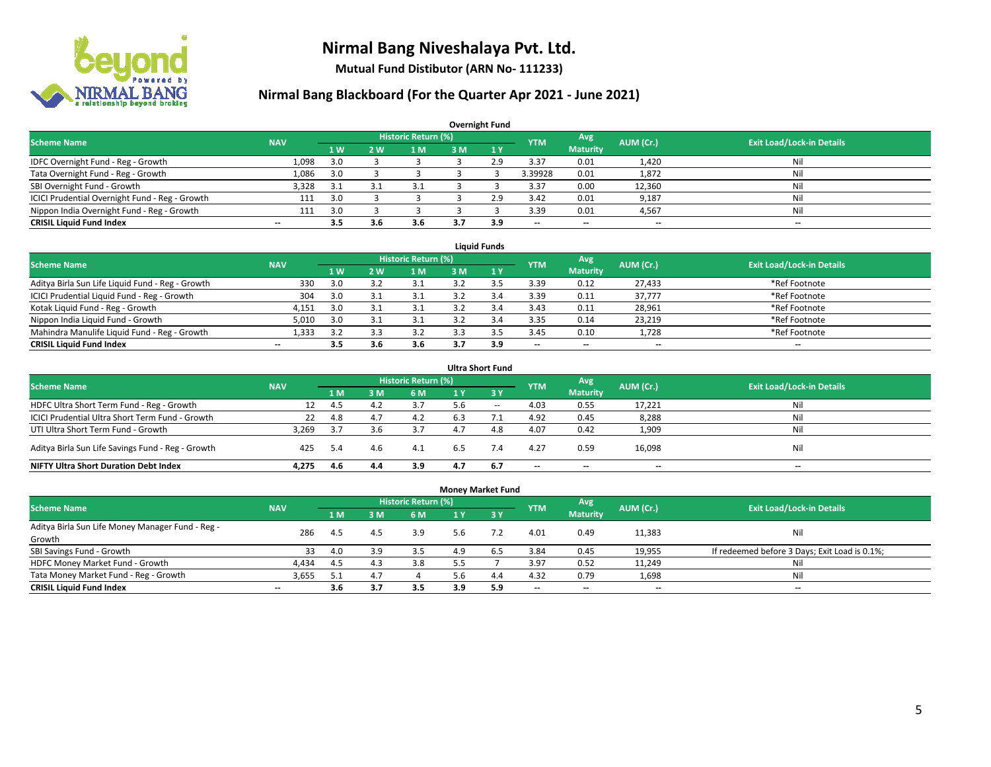

**Mutual Fund Distibutor (ARN No- 111233)**

| <b>Overnight Fund</b>                          |                          |     |     |                            |     |              |            |                          |           |                                  |  |  |  |  |
|------------------------------------------------|--------------------------|-----|-----|----------------------------|-----|--------------|------------|--------------------------|-----------|----------------------------------|--|--|--|--|
| <b>Scheme Name</b>                             | <b>NAV</b>               |     |     | <b>Historic Return (%)</b> |     |              | <b>YTM</b> | Avg                      | AUM (Cr.) | <b>Exit Load/Lock-in Details</b> |  |  |  |  |
|                                                |                          | 1W  | 2 W | 1 M                        | 3 M | $\sqrt{1}$ Y |            | <b>Maturity</b>          |           |                                  |  |  |  |  |
| IDFC Overnight Fund - Reg - Growth             | 1,098                    | 3.0 |     |                            |     | 2.9          | 3.37       | 0.01                     | 1,420     | Nil                              |  |  |  |  |
| Tata Overnight Fund - Reg - Growth             | 1,086                    | 3.0 |     |                            |     |              | 3.39928    | 0.01                     | 1,872     | Nil                              |  |  |  |  |
| SBI Overnight Fund - Growth                    | 3,328                    | 3.1 |     | 3.1                        |     |              | 3.37       | 0.00                     | 12,360    | Nil                              |  |  |  |  |
| ICICI Prudential Overnight Fund - Reg - Growth | 111                      | 3.0 |     |                            |     | 2.9          | 3.42       | 0.01                     | 9,187     | Nil                              |  |  |  |  |
| Nippon India Overnight Fund - Reg - Growth     | 111                      | 3.0 |     |                            |     |              | 3.39       | 0.01                     | 4,567     | Nil                              |  |  |  |  |
| <b>CRISIL Liquid Fund Index</b>                | $\overline{\phantom{a}}$ | 3.5 | 3.6 | 3.6                        |     | 3.9          | --         | $\overline{\phantom{a}}$ | --        | $-$                              |  |  |  |  |

| <b>Liauid Funds</b>                              |            |     |     |                     |     |     |                          |                          |           |                                  |  |  |  |
|--------------------------------------------------|------------|-----|-----|---------------------|-----|-----|--------------------------|--------------------------|-----------|----------------------------------|--|--|--|
| <b>Scheme Name</b>                               | <b>NAV</b> |     |     | Historic Return (%) |     |     | <b>YTM</b>               | Avg                      | AUM (Cr.) | <b>Exit Load/Lock-in Details</b> |  |  |  |
|                                                  |            | 1 W | 2 W | 1 M                 | 3 M |     |                          | <b>Maturity</b>          |           |                                  |  |  |  |
| Aditya Birla Sun Life Liquid Fund - Reg - Growth | 330        | 3.0 |     |                     |     |     | 3.39                     | 0.12                     | 27,433    | *Ref Footnote                    |  |  |  |
| ICICI Prudential Liquid Fund - Reg - Growth      | 304        | 3.0 |     |                     |     | 3.4 | 3.39                     | 0.11                     | 37,777    | *Ref Footnote                    |  |  |  |
| Kotak Liquid Fund - Reg - Growth                 | 4,151      | 3.0 |     |                     |     | 3.4 | 3.43                     | 0.11                     | 28,961    | *Ref Footnote                    |  |  |  |
| Nippon India Liquid Fund - Growth                | 5,010      | 3.0 |     |                     |     |     | 3.35                     | 0.14                     | 23,219    | *Ref Footnote                    |  |  |  |
| Mahindra Manulife Liquid Fund - Reg - Growth     | 1.333      | 3.2 |     | 3.2                 |     |     | 3.45                     | 0.10                     | 1,728     | *Ref Footnote                    |  |  |  |
| <b>CRISIL Liquid Fund Index</b>                  | $- -$      | 3.5 |     | 3.6                 | 3.7 | 3.9 | $\overline{\phantom{a}}$ | $\overline{\phantom{a}}$ | $- -$     | $\overline{\phantom{a}}$         |  |  |  |

| <b>Ultra Short Fund</b>                                                                                                              |       |      |     |     |     |              |                          |                          |                          |     |  |  |  |  |
|--------------------------------------------------------------------------------------------------------------------------------------|-------|------|-----|-----|-----|--------------|--------------------------|--------------------------|--------------------------|-----|--|--|--|--|
| <b>Historic Return (%)</b><br>Avg<br><b>Exit Load/Lock-in Details</b><br><b>Scheme Name</b><br><b>NAV</b><br>AUM (Cr.)<br><b>YTM</b> |       |      |     |     |     |              |                          |                          |                          |     |  |  |  |  |
|                                                                                                                                      |       | 1 M  | sм  | 6 M | 1 Y | $\sqrt{3}$ Y |                          | <b>Maturity</b>          |                          |     |  |  |  |  |
| HDFC Ultra Short Term Fund - Reg - Growth                                                                                            | 12    | 4.5  | 4.2 | 3.7 | 5.6 | $\sim$       | 4.03                     | 0.55                     | 17,221                   | Nil |  |  |  |  |
| ICICI Prudential Ultra Short Term Fund - Growth                                                                                      | 22    | 4.8  | 4.1 | 4.2 | 6.3 |              | 4.92                     | 0.45                     | 8,288                    | Nil |  |  |  |  |
| UTI Ultra Short Term Fund - Growth                                                                                                   | 3,269 | 3.7  |     | 3.7 |     | 4.8          | 4.07                     | 0.42                     | 1,909                    | Nil |  |  |  |  |
| Aditya Birla Sun Life Savings Fund - Reg - Growth                                                                                    | 425   | .5.4 | 4.6 | 4.1 | 6.5 | 7.4          | 4.27                     | 0.59                     | 16,098                   | Nil |  |  |  |  |
| <b>NIFTY Ultra Short Duration Debt Index</b>                                                                                         | 4.275 | 4.6  | 4.4 | 3.9 | 4.7 | 6.7          | $\overline{\phantom{a}}$ | $\overline{\phantom{a}}$ | $\overline{\phantom{a}}$ | $-$ |  |  |  |  |

| <b>Money Market Fund</b>                         |                          |      |     |                            |     |            |            |                 |           |                                               |  |  |  |  |
|--------------------------------------------------|--------------------------|------|-----|----------------------------|-----|------------|------------|-----------------|-----------|-----------------------------------------------|--|--|--|--|
| <b>Scheme Name</b>                               | <b>NAV</b>               |      |     | <b>Historic Return (%)</b> |     |            | <b>YTM</b> | Avg             | AUM (Cr.) | <b>Exit Load/Lock-in Details</b>              |  |  |  |  |
|                                                  |                          | 1 M  | 3M  | 6 M                        | 1 Y | <b>73Y</b> |            | <b>Maturity</b> |           |                                               |  |  |  |  |
| Aditya Birla Sun Life Money Manager Fund - Reg - | 286                      | 4.5  | 4.5 | 3.9                        | 5.6 |            | 4.01       | 0.49            | 11,383    | Nil                                           |  |  |  |  |
| Growth                                           |                          |      |     |                            |     |            |            |                 |           |                                               |  |  |  |  |
| SBI Savings Fund - Growth                        | 33                       | 4.0  | 3.9 | 3.5                        | 4.9 |            | 3.84       | 0.45            | 19,955    | If redeemed before 3 Days; Exit Load is 0.1%; |  |  |  |  |
| HDFC Money Market Fund - Growth                  | 4,434                    | -4.5 | 4.3 | 3.8                        |     |            | 3.97       | 0.52            | 11,249    | Nil                                           |  |  |  |  |
| Tata Money Market Fund - Reg - Growth            | 3,655                    | 5.1  | 4.7 |                            | - 6 | 4.4        | 4.32       | 0.79            | 1,698     | Nil                                           |  |  |  |  |
| <b>CRISIL Liquid Fund Index</b>                  | $\overline{\phantom{a}}$ | 3.6  | 3.7 | 3.5                        | 3.9 | 5.9        | --         | $- -$           | $- -$     | $\overline{\phantom{a}}$                      |  |  |  |  |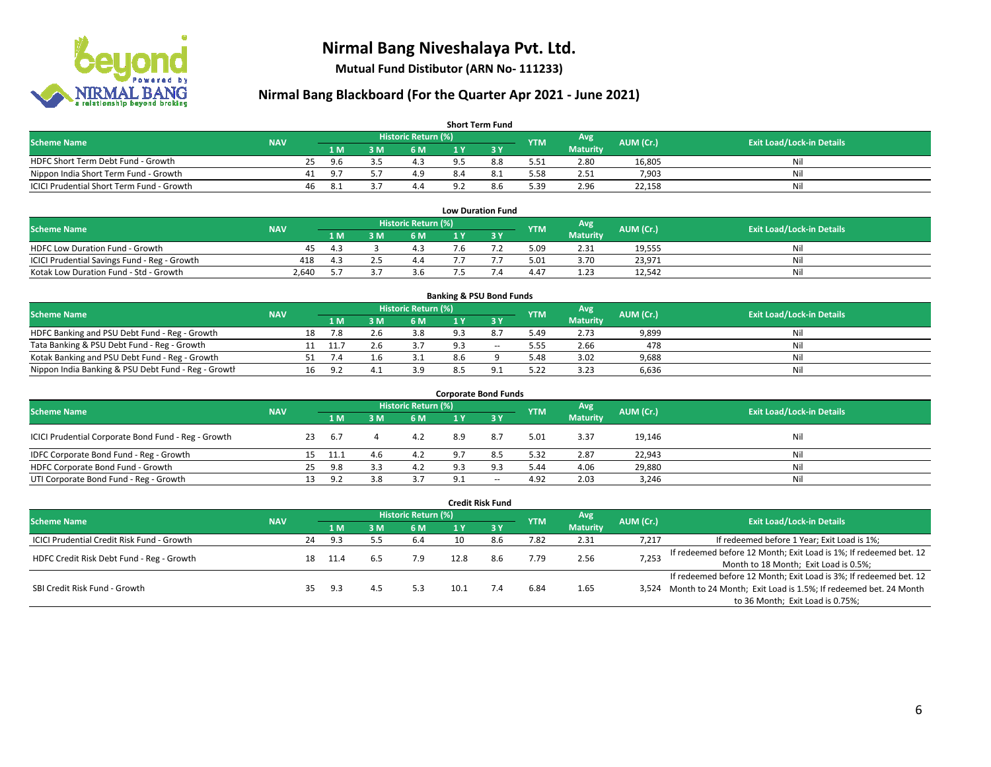

**Mutual Fund Distibutor (ARN No- 111233)**

| <b>Short Term Fund</b>                    |            |    |      |     |                            |     |     |            |                 |           |                                  |  |  |
|-------------------------------------------|------------|----|------|-----|----------------------------|-----|-----|------------|-----------------|-----------|----------------------------------|--|--|
| <b>Scheme Name</b>                        | <b>NAV</b> |    |      |     | <b>Historic Return (%)</b> |     |     | <b>YTM</b> | Avg             | AUM (Cr.) | <b>Exit Load/Lock-in Details</b> |  |  |
|                                           |            |    | 1 M. | 3 M | 6 M                        | 1 V |     |            | <b>Maturity</b> |           |                                  |  |  |
| HDFC Short Term Debt Fund - Growth        |            | 25 | 9.6  |     |                            |     | 8.8 | 5.51       | 2.80            | 16,805    | Nil                              |  |  |
| Nippon India Short Term Fund - Growth     |            | 41 | 9.7  |     | 4.9                        |     |     | 5.58       | 2.51            | 7,903     | Nil                              |  |  |
| ICICI Prudential Short Term Fund - Growth |            | 46 |      |     | 4.4                        |     | 8.6 | 5.39       | 2.96            | 22,158    | Nil                              |  |  |

| <b>Low Duration Fund</b>                     |            |       |  |                     |     |  |            |                 |           |                                  |  |  |  |
|----------------------------------------------|------------|-------|--|---------------------|-----|--|------------|-----------------|-----------|----------------------------------|--|--|--|
| <b>Scheme Name</b>                           | <b>NAV</b> |       |  | Historic Return (%) |     |  | <b>YTM</b> | Avg             | AUM (Cr.) | <b>Exit Load/Lock-in Details</b> |  |  |  |
|                                              |            | '1 M. |  | 6 M                 |     |  |            | <b>Maturity</b> |           |                                  |  |  |  |
| <b>HDFC Low Duration Fund - Growth</b>       | 45         | -4.3  |  | 4.3                 | 7.6 |  | 5.09       | 2.31            | 19,555    | Nil                              |  |  |  |
| ICICI Prudential Savings Fund - Reg - Growth | 418        | 4.3   |  | 4.4                 |     |  | 5.01       | 3.70            | 23,971    | Nil                              |  |  |  |
| Kotak Low Duration Fund - Std - Growth       | 2,640      |       |  | 3.6                 |     |  | 4.47       | 1.23            | 12,542    | Nil                              |  |  |  |

| <b>Banking &amp; PSU Bond Funds</b>                 |            |    |      |     |                     |     |        |            |                 |           |                                  |  |  |
|-----------------------------------------------------|------------|----|------|-----|---------------------|-----|--------|------------|-----------------|-----------|----------------------------------|--|--|
| <b>Scheme Name</b>                                  | <b>NAV</b> |    |      |     | Historic Return (%) |     |        | <b>YTM</b> | Avg             | AUM (Cr.) | <b>Exit Load/Lock-in Details</b> |  |  |
|                                                     |            |    | 1 M  | . M | <b>6M</b>           |     |        |            | <b>Maturity</b> |           |                                  |  |  |
| HDFC Banking and PSU Debt Fund - Reg - Growth       |            | 18 |      |     | 3.8                 |     |        | 5.49       | 2.73            | 9,899     | Nil                              |  |  |
| Tata Banking & PSU Debt Fund - Reg - Growth         |            |    | 11.7 |     |                     |     | $\sim$ | 5.55       | 2.66            | 478       | Nil                              |  |  |
| Kotak Banking and PSU Debt Fund - Reg - Growth      |            |    |      |     |                     | 8.6 |        | 5.48       | 3.02            | 9,688     | Nil                              |  |  |
| Nippon India Banking & PSU Debt Fund - Reg - Growth |            | 16 | ΩC   |     | 3.9                 |     |        | 5.22       | 3.23            | 6,636     | Nil                              |  |  |

| <b>Corporate Bond Funds</b>                         |            |     |      |          |                     |     |       |            |                 |           |                                  |  |  |
|-----------------------------------------------------|------------|-----|------|----------|---------------------|-----|-------|------------|-----------------|-----------|----------------------------------|--|--|
| <b>Scheme Name</b>                                  | <b>NAV</b> |     |      |          | Historic Return (%) |     |       | <b>YTM</b> | Avg             | AUM (Cr.) | <b>Exit Load/Lock-in Details</b> |  |  |
|                                                     |            |     | 1 M  | <b>M</b> | 6 M                 | 1 Y |       |            | <b>Maturity</b> |           |                                  |  |  |
| ICICI Prudential Corporate Bond Fund - Reg - Growth |            | 23  | -6.7 |          | 4.2                 | 8.9 | 8.7   | 5.01       | 3.37            | 19,146    | Nil                              |  |  |
| IDFC Corporate Bond Fund - Reg - Growth             |            | 15  | 11.1 | 4.6      | 4.2                 | 9.7 | 8.5   | 5.32       | 2.87            | 22,943    | Nil                              |  |  |
| HDFC Corporate Bond Fund - Growth                   |            | 25  | 9.8  | 3.3      | 4.2                 | 9.3 | 9.3   | 5.44       | 4.06            | 29,880    | Nil                              |  |  |
| UTI Corporate Bond Fund - Reg - Growth              |            | 13. | 9.2  | 3.8      |                     | ∩ ^ | $- -$ | 4.92       | 2.03            | 3,246     | Nil                              |  |  |

|                                            |            |    |      |     |                            |      | <b>Credit Risk Fund</b> |            |                        |           |                                                                       |
|--------------------------------------------|------------|----|------|-----|----------------------------|------|-------------------------|------------|------------------------|-----------|-----------------------------------------------------------------------|
| <b>Scheme Name</b>                         | <b>NAV</b> |    |      |     | <b>Historic Return (%)</b> |      |                         | <b>YTM</b> | Avg<br><b>Maturity</b> | AUM (Cr.) | <b>Exit Load/Lock-in Details</b>                                      |
|                                            |            |    | 1 M  | 8 M | 6 M                        | 1 Y  | $Z$ 3 $V$               |            |                        |           |                                                                       |
| ICICI Prudential Credit Risk Fund - Growth |            | 24 | 9.3  |     | 6.4                        | 10   | 8.6                     | 7.82       | 2.31                   | 7,217     | If redeemed before 1 Year; Exit Load is 1%;                           |
| HDFC Credit Risk Debt Fund - Reg - Growth  |            | 18 | 11.4 | b.5 | 7.9                        | 12.8 | 8.6                     | 7.79       | 2.56                   | 7,253     | If redeemed before 12 Month; Exit Load is 1%; If redeemed bet. 12     |
|                                            |            |    |      |     |                            |      |                         |            |                        |           | Month to 18 Month; Exit Load is 0.5%;                                 |
|                                            |            |    |      |     |                            |      |                         |            |                        |           | If redeemed before 12 Month; Exit Load is 3%; If redeemed bet. 12     |
| SBI Credit Risk Fund - Growth              |            |    | 9.3  | 4.5 | 5.3                        | 10.1 | 7.4                     | 6.84       | 1.65                   |           | 3,524 Month to 24 Month; Exit Load is 1.5%; If redeemed bet. 24 Month |
|                                            |            |    |      |     |                            |      |                         |            |                        |           | to 36 Month; Exit Load is 0.75%;                                      |